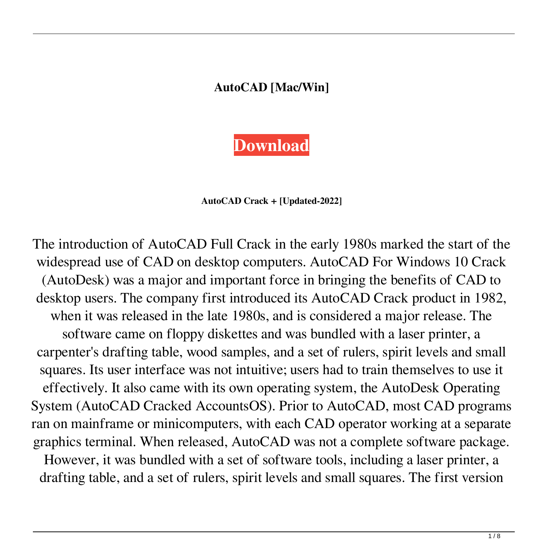## **AutoCAD [Mac/Win]**



**AutoCAD Crack + [Updated-2022]**

The introduction of AutoCAD Full Crack in the early 1980s marked the start of the widespread use of CAD on desktop computers. AutoCAD For Windows 10 Crack (AutoDesk) was a major and important force in bringing the benefits of CAD to desktop users. The company first introduced its AutoCAD Crack product in 1982, when it was released in the late 1980s, and is considered a major release. The software came on floppy diskettes and was bundled with a laser printer, a carpenter's drafting table, wood samples, and a set of rulers, spirit levels and small squares. Its user interface was not intuitive; users had to train themselves to use it effectively. It also came with its own operating system, the AutoDesk Operating System (AutoCAD Cracked AccountsOS). Prior to AutoCAD, most CAD programs ran on mainframe or minicomputers, with each CAD operator working at a separate graphics terminal. When released, AutoCAD was not a complete software package.

However, it was bundled with a set of software tools, including a laser printer, a drafting table, and a set of rulers, spirit levels and small squares. The first version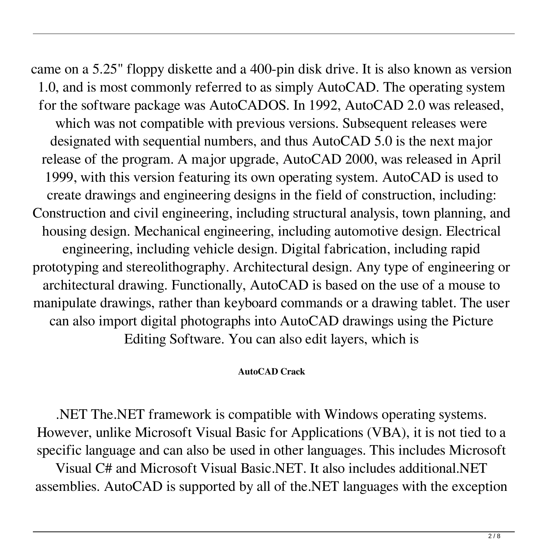came on a 5.25" floppy diskette and a 400-pin disk drive. It is also known as version 1.0, and is most commonly referred to as simply AutoCAD. The operating system for the software package was AutoCADOS. In 1992, AutoCAD 2.0 was released, which was not compatible with previous versions. Subsequent releases were designated with sequential numbers, and thus AutoCAD 5.0 is the next major release of the program. A major upgrade, AutoCAD 2000, was released in April 1999, with this version featuring its own operating system. AutoCAD is used to create drawings and engineering designs in the field of construction, including: Construction and civil engineering, including structural analysis, town planning, and housing design. Mechanical engineering, including automotive design. Electrical engineering, including vehicle design. Digital fabrication, including rapid prototyping and stereolithography. Architectural design. Any type of engineering or architectural drawing. Functionally, AutoCAD is based on the use of a mouse to manipulate drawings, rather than keyboard commands or a drawing tablet. The user can also import digital photographs into AutoCAD drawings using the Picture Editing Software. You can also edit layers, which is

## **AutoCAD Crack**

.NET The.NET framework is compatible with Windows operating systems. However, unlike Microsoft Visual Basic for Applications (VBA), it is not tied to a specific language and can also be used in other languages. This includes Microsoft

Visual C# and Microsoft Visual Basic.NET. It also includes additional.NET assemblies. AutoCAD is supported by all of the.NET languages with the exception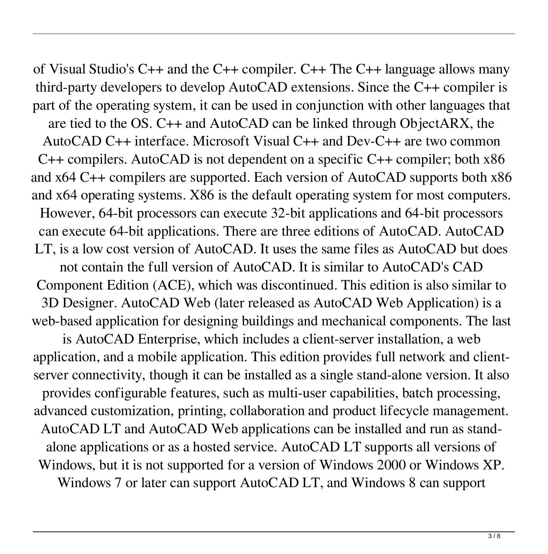of Visual Studio's C++ and the C++ compiler. C++ The C++ language allows many third-party developers to develop AutoCAD extensions. Since the C++ compiler is part of the operating system, it can be used in conjunction with other languages that are tied to the OS. C++ and AutoCAD can be linked through ObjectARX, the AutoCAD C++ interface. Microsoft Visual C++ and Dev-C++ are two common C++ compilers. AutoCAD is not dependent on a specific C++ compiler; both x86 and x64 C++ compilers are supported. Each version of AutoCAD supports both x86 and x64 operating systems. X86 is the default operating system for most computers. However, 64-bit processors can execute 32-bit applications and 64-bit processors can execute 64-bit applications. There are three editions of AutoCAD. AutoCAD LT, is a low cost version of AutoCAD. It uses the same files as AutoCAD but does not contain the full version of AutoCAD. It is similar to AutoCAD's CAD Component Edition (ACE), which was discontinued. This edition is also similar to 3D Designer. AutoCAD Web (later released as AutoCAD Web Application) is a web-based application for designing buildings and mechanical components. The last is AutoCAD Enterprise, which includes a client-server installation, a web application, and a mobile application. This edition provides full network and clientserver connectivity, though it can be installed as a single stand-alone version. It also provides configurable features, such as multi-user capabilities, batch processing, advanced customization, printing, collaboration and product lifecycle management. AutoCAD LT and AutoCAD Web applications can be installed and run as standalone applications or as a hosted service. AutoCAD LT supports all versions of Windows, but it is not supported for a version of Windows 2000 or Windows XP. Windows 7 or later can support AutoCAD LT, and Windows 8 can support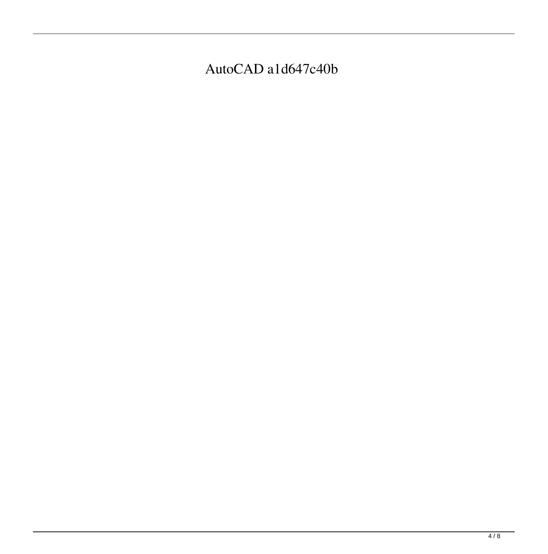AutoCAD a1d647c40b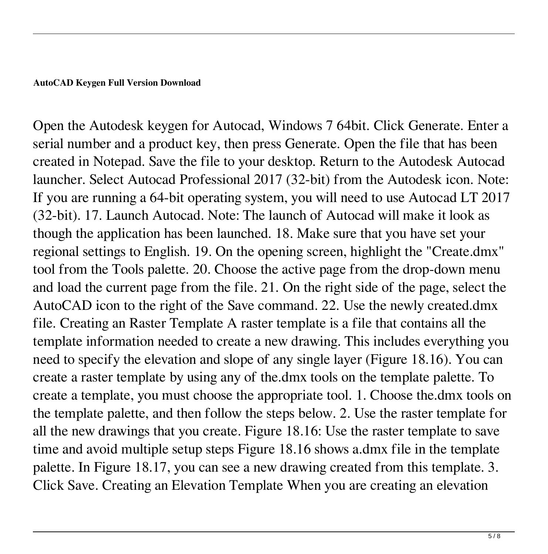## **AutoCAD Keygen Full Version Download**

Open the Autodesk keygen for Autocad, Windows 7 64bit. Click Generate. Enter a serial number and a product key, then press Generate. Open the file that has been created in Notepad. Save the file to your desktop. Return to the Autodesk Autocad launcher. Select Autocad Professional 2017 (32-bit) from the Autodesk icon. Note: If you are running a 64-bit operating system, you will need to use Autocad LT 2017 (32-bit). 17. Launch Autocad. Note: The launch of Autocad will make it look as though the application has been launched. 18. Make sure that you have set your regional settings to English. 19. On the opening screen, highlight the "Create.dmx" tool from the Tools palette. 20. Choose the active page from the drop-down menu and load the current page from the file. 21. On the right side of the page, select the AutoCAD icon to the right of the Save command. 22. Use the newly created.dmx file. Creating an Raster Template A raster template is a file that contains all the template information needed to create a new drawing. This includes everything you need to specify the elevation and slope of any single layer (Figure 18.16). You can create a raster template by using any of the.dmx tools on the template palette. To create a template, you must choose the appropriate tool. 1. Choose the.dmx tools on the template palette, and then follow the steps below. 2. Use the raster template for all the new drawings that you create. Figure 18.16: Use the raster template to save time and avoid multiple setup steps Figure 18.16 shows a.dmx file in the template palette. In Figure 18.17, you can see a new drawing created from this template. 3. Click Save. Creating an Elevation Template When you are creating an elevation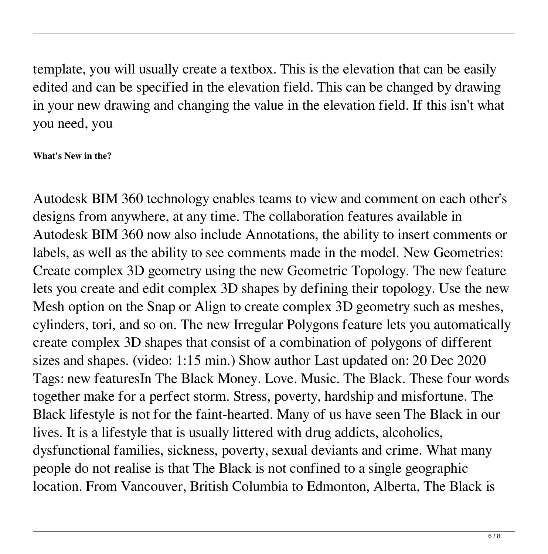template, you will usually create a textbox. This is the elevation that can be easily edited and can be specified in the elevation field. This can be changed by drawing in your new drawing and changing the value in the elevation field. If this isn't what you need, you

## **What's New in the?**

Autodesk BIM 360 technology enables teams to view and comment on each other's designs from anywhere, at any time. The collaboration features available in Autodesk BIM 360 now also include Annotations, the ability to insert comments or labels, as well as the ability to see comments made in the model. New Geometries: Create complex 3D geometry using the new Geometric Topology. The new feature lets you create and edit complex 3D shapes by defining their topology. Use the new Mesh option on the Snap or Align to create complex 3D geometry such as meshes, cylinders, tori, and so on. The new Irregular Polygons feature lets you automatically create complex 3D shapes that consist of a combination of polygons of different sizes and shapes. (video: 1:15 min.) Show author Last updated on: 20 Dec 2020 Tags: new featuresIn The Black Money. Love. Music. The Black. These four words together make for a perfect storm. Stress, poverty, hardship and misfortune. The Black lifestyle is not for the faint-hearted. Many of us have seen The Black in our lives. It is a lifestyle that is usually littered with drug addicts, alcoholics, dysfunctional families, sickness, poverty, sexual deviants and crime. What many people do not realise is that The Black is not confined to a single geographic location. From Vancouver, British Columbia to Edmonton, Alberta, The Black is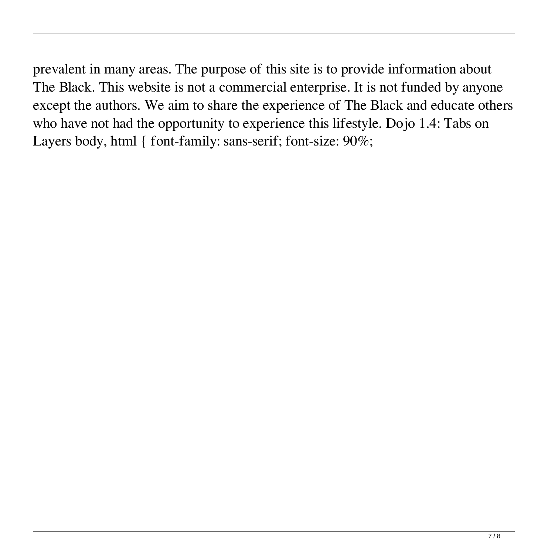prevalent in many areas. The purpose of this site is to provide information about The Black. This website is not a commercial enterprise. It is not funded by anyone except the authors. We aim to share the experience of The Black and educate others who have not had the opportunity to experience this lifestyle. Dojo 1.4: Tabs on Layers body, html { font-family: sans-serif; font-size: 90%;